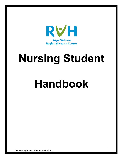

# **Nursing Student**

## **Handbook**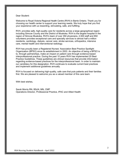Dear Student:

Welcome to Royal Victoria Regional Health Centre (RVH) in Barrie Ontario. Thank you for choosing our health center to support your learning needs. We truly hope that you find your experience with us rewarding, stimulating, safe, and fulfilling.

RVH, provides safe, high-quality care for residents across a large geographical region including Simcoe County and the District of Muskoka. RVH is the largest hospital in the region of Simcoe Muskoka. RVH's team of over 350 physicians, 2,500 staff and 850 volunteers provides exceptional care and specialty services to almost half a million residents, cardiology, dialysis, cancer care, stroke services, orthopedics, intensive care, mental health and interventional radiology.

RVH has proudly been a Registered Nurses' Association Best Practice Spotlight Organization (BPSO) since its establishment in 2003. An objective of being a BPSO is to, through partnerships, make an impact on patient care through evidence-based interprofessional practice. During the past 10 years RVH has implemented 20 Best Practice Guidelines. These guidelines are clinical resources that provide information regarding evidence-based practices for the interprofessional team. In order to maintain our candidacy for this designation, RVH continues to evaluate current best practices and implement additional guidelines annually.

RVH is focused on delivering high-quality, safe care that puts patients and their families first. We are pleased to welcome you as a valued member of this care team.

With best wishes,

Sarah Morris RN, BScN, MN, CMP Operations Director, Professional Practice, IPAC and Allied Health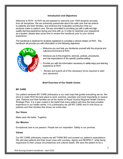### **Introduction and Objectives**

Welcome to RVH! At RVH we are pleased to welcome over 1000 students annually from all disciplines. We are extremely passionate about the safe care that we extend to patients and their families, and embrace the invaluable contribution that our students make to patient care. We are committed to providing you with a safe and high quality learning experience during your time with us. In order to maximize your experience as a student, please take some time to review this handbook prior to your clinical experience.

The handbook is destined for students registered to complete a clinical rotation at RVH. This handbook will provide you with information on the following objectives:



- $\checkmark$  Welcome you and help you familiarize yourself with the physical and cultural environment at RVH.
- $\checkmark$  Introduce you to the programs, services, policies, procedures, and role expectations of the specific practice setting.
- $\checkmark$  Provide you with the information necessary to safely enjoy your learning experience at RVH.
- Review and submit all of the necessary forms required to start your placement

### **Brief Overview of Our Health Centre**

### **MY CARE**

Our patient-centered MY CARE philosophy is our road map that guides everything we do. We strive to make RVH the best place to work, practice, volunteer and most importantly to receive care. Patients and their families are at the centre of Royal Victoria Regional Health Centre's Strategic Plan. It is a plan rooted in the belief that every patient will have the best possible experience in our health centre. It is a philosophy we call MY CARE and it's this focus on patients and their families that drives our entire plan.

### **Our Vision**

Make each life better. Together.

### **Our Mission**

Exceptional care is our passion. People are our inspiration. Safety is our promise.

### **Values**

Our MY CARE philosophy means we will THINK BIG and exceed our patient's expectations. We will treat patients and their loved ones with courtesy, dignity and RESPECT, while being responsive to their unique circumstances and cultural needs. We want the patient to be a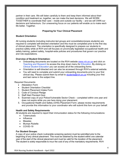partner in their care. We will listen carefully to them and keep them informed about their condition and treatment so, together, we can make the best decisions. We will WORK TOGETHER to coordinate their care – inside and outside our facility – and we will OWN our decisions and behaviours. Our unwavering focus on our patients will enable us to make each life better. Together.

### **Preparing for Your Clinical Placement**

### **Student Orientation**

All nursing students (including instructor-led groups and consolidation/praxis students) are required to complete self-directed orientation and this must be completed prior to the first day of clinical placement. The orientation is specifically designed to prepare our students to practice safely while at RVH and will focuses on provincially legislated occupational health and safety training, patient safety, hospital-wide policies and procedures that govern our practice and role expectations.

### **Overview of Student Orientation:**

- Onboarding documents are located on the RVH website [www.rvh.on.ca](http://www.rvh.on.ca/) and click on *Teaching and Research* to access the drop down menu for *Education.* By clicking on *Clinical Student Education* you can access all of the onboarding forms.
- Orientation is self-directed and can also be accessed through RVH's external website.
- You will need to complete and submit your onboarding documents prior to your first clinical day. Please submit them by email to students $@rv$ h.on.ca including your first and last name in the subject line.

### Required Documents:

- Attestation Form
- Student Orientation Checklist
- 1. Student Placement Intake Form
- 2. Code of Conduct Pledge
- 3. Staff Alert Pendant Quiz
- 4. Scanned copy of your Police/Vulnerable Sector Check completed within one year and does not expire while you are here doing your placement.
- 5. Occupational Health and Safety (OHS) Placement Form- please review requirements and provide this information to your coordinator who will submit this form on your behalf.

### **Health and Safety Requirements**

All students are required to report their immunization status for the following immunizations:

- Tuberculosis
- Influenza
- **Measles**
- Mumps Rubella
- COVID-19

### **For Student Groups:**

A copy of your police check (vulnerable screening sectors) must be submitted prior to the beginning of any clinical placement. This must be obtained by the student within one calendar year of the start of the clinical placement and must be valid for the duration of the placement. The student is solely responsible to incur the cost of any of the mandatory requirements. RVH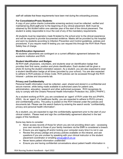staff will validate that these requirements have been met during the onboarding process.

### **For Consolidation/Praxis Students:**

A copy of your police checks (vulnerable screening sectors) must be collected, verified and maintained by RVH staff prior to the beginning of any clinical placement. Both must be obtained by the student within one calendar year of the start of the clinical placement. The student is solely responsible to incur the cost of any of the mandatory requirements.

All students must be respiratory mask fit-tested by the school prior to the clinical experience and will be required to provide documented evidence. Masks will be provided by the hospital and worn by students according to Infection Prevention and Control guidelines, policies and procedures. If you require mask fit testing you can request this through the RVH Work Place Safety free of charge.

### **Work/Education Agreement**

All students' placements are contingent on a current affiliation agreement between the academic institution and RVH.

### **Student Identification and Badges**

All RVH staff, physicians, volunteers, and students wear an identification badge that provides their first name, position and photo identification. Each student will be given a photo ID during the student orientation session. As a student, you are also expected to wear a student identification badge at all times (provided by your school). You are also expected to adhere to RVH policies on Dress Code. RVH policies can be accessed through the RVH Intranet – policies and documents tab.

### **Privacy and Confidentiality**

Personal health information must be collected, used, shared and stored in a confidential and secure manner, while being made available to authorized users for patient care, administration, education, research and other authorized purposes. RVH recognizes its duty to comply with the Ontario Personal Health Information Protection Act, 2004 ("PHIPA").

As a student working at RVH, you are considered an 'agent' of RVH under this act (PHIPA, 2004). As an 'agent' of a healthcare facility, you are expected to adhere to RVH's privacy and confidentiality policy. The policy is posted on the RVH Intranet under the policies and documents tab. Please use the search feature by entering the search words "confidentiality, privacy and personal health information".

As a student, you are expected to sign the confidentiality agreement prior to the start of your clinical rotation. Please read and sign the confidentiality agreement attached in the last pages of this handbook.

Some key items to consider:

- Never access records of those for whom you are not providing direct care accessing your own records or those of your family members via the EMR is considered a breach.
- Ensure you are logging off and/or locking your computer every time it is not in use
- Review the privacy pledge and privacy policies available on the intranet, and ask questions if you are unclear by speaking with your clinical instructor or the student placement coordinator or emailing [privacy@rvh.on.ca](mailto:privacy@rvh.on.ca)
- Never leave patient information unattended
- Ensure you are having confidential conversations about patient health information in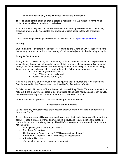private areas with only those who need to know the information

There is nothing more personal than a person's health record. We must do everything to protect that sensitive information. **It is the law.**

A privacy breech may result in the termination of the student placement at RVH. All privacy breeches are promptly investigated and swift and prudent action is taken to protect our patients.

If you have any questions, please contact the Privacy Office at **privacy@rvh.on.ca** 

### **Parking**

Student parking is available in the visitor lot located next to Georgian Drive. Please complete the parking form and submit it to the parking office located adjacent to the visitor's parking lot.

### **Safety is Our Promise**

Safety is our promise at RVH, for our patients, staff and students. Should you experience an injury while in the capacity of a student while of RVH property, please seek medical attention through the Occupational Health and Safety Department immediately. In order for an injury, illness or exposure to be considered work-related, the following criteria must be met:

- Time: When you normally work
- Place: Where you normally work
- **Activity: What you normally do**

If all criteria are met, learners must report the injury to their instructor, the RVH Placement Coordinator and to the Occupational Health and Safety Department (OHS).

OHS is located 1SA, room 1452 and is open Monday – Friday 0800-1600 except on statutory holidays. If the injury/illness/exposure occurs outside of business hours, please report to OHS the next business day. Our phone number is 705-728-9090 ext. 42350.

At RVH safety is our promise. Your safety is our priority. **It is the law**.

### **Frequently Asked Questions**

Q. Are there any skills/processes or procedures that students are not able to perform while they are at RVH?

A. Yes, there are some skills/processes and procedures that students are not able to perform at RVH. These skills are advanced nursing skills at RVH and require additional education, preparation and/or competency testing. The skills/processes and procedures include but are not limited to:

- POC glucose, urine and troponin testing
- Peripheral IV insertion
- Central Venous Access Device (CVAD) care and maintenance
- Automated Dispensing Unit (ADU) access for medications
- Administer Narcotics
- Venipuncture for the purpose of serum sampling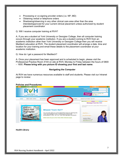- Processing or co-signing provider orders (i.e. NP, MD)
- Obtaining verbal or telephone orders
- Shadowing/observing in any other clinical care area other than the area intended/approved for your current clinical placement unless authorized by student placement coordinator
- Q. Will I receive computer training at RVH?

A. If you are a student at York University or Georgian College, then all computer training occurs through your academic institution. If you are a student coming to RVH from an academic institution other than York University or Georgian College then you will receive Meditech education at RVH. The student placement coordinator will arrange a date, time and location for your training and email these details to the placement coordinator at your academic institution.

Q. How do I get a password for Meditech?

A. Once your placement has been approved and is scheduled to begin, please visit the Professional Practice Room 4144 on site at RVH, Monday to Friday between the hours of 0800 – 1600. **Please bring with you picture ID showing your first and last name**.

### **Navigating the Computer**

At RVH we have numerous resources available to staff and students. Please visit our Intranet page to review:



**Health Library**: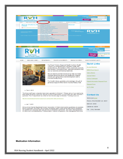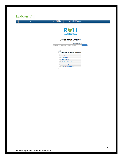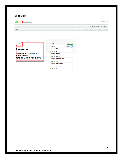| <b>Up-to-Date:</b> |
|--------------------|
|--------------------|

UpToDate<sup>®</sup>

Contents

### > Languages | Help

Welcome, Royal Victoria Regional Health Centre | Log in

Patient Info | What's New | PCUs | Calculators | Drug Interactions

### To Access Up-to-Date:

1. Click on the "Microsoft Windows" Icon<br>2. Type in "up to date"<br>3. Enter your query into the "new search" bar

| New Search:                             | Search in another language |
|-----------------------------------------|----------------------------|
| catheter related                        | O<br>v All Topics          |
| catheter related infection              |                            |
| catheter related util                   |                            |
| catheter related thrombosis             |                            |
| catheter related bacteremia             |                            |
| catheter related bloodstream infections |                            |
| catheter related sepsis                 |                            |
| catheter related blood stream infection |                            |
| catheter related infection adult        |                            |
| catheter related dyf                    |                            |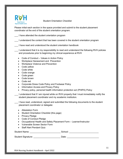

Student Orientation Checklist

Please initial each section in the space provided and submit to the student placement coordinator at the end of the student orientation program.

I have attended the student orientation program

I understand the content that has been covered in the student orientation program

I have read and understood the student orientation handbook

\_\_\_ I understand that it is my responsibility to read and understand the following RVH policies and procedures prior to beginning my clinical experience at RVH

- Code of Conduct Values in Action Policy
- Workplace Harassment and Prevention
- Workplace Violence and Prevention
- Code yellow
- Code white
- Code orange
- Code green
- Code brown
- Code red
- Corporate Dress Code Policy and Footwear Policy
- Information Access and Privacy Policy
- Privacy policy, personal health information protection act (PHIPA) Policy
- I understand that if I am injured while on RVH property that I must immediately notify the student placement coordinator and my academic institution.

I have read, understood, signed and submitted the following documents to the student placement coordinator or delegate:

- Attestation Form
- Student Orientation Checklist (this page)
- Privacy Pledge
- Code of Conduct Pledge
- Occupational Health and Safety Placement Form Learner/Instructor
- Vulnerable Screen Sector Form
- Staff Alert Pendant Quiz

| Student Name:             | School: |
|---------------------------|---------|
| <b>Student Signature:</b> | Date:   |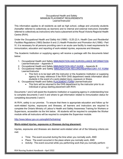### Occupational Health and Safety MINIMUM PLACEMENT REQUIREMENTS Learner/Instructor

This information applies to all residents as well as high school, college and university students (hereafter referred to collectively as *learners*) and to internal and external instructors (hereafter referred to collectively as *instructors*) who have a placement at the Royal Victoria Regional Health Centre (RVH).

Under the *Occupational Health and Safety Act* (1990) - S.25 (2) h, *Health Care and Residential Facilities Regulations* (1993) Section 9 and (1) *Health Protection and Promotion Act* (1990) - Part IV, it is necessary for all persons providing care in an acute care facility to meet requirements for immunization, education and reporting of work-related injuries, exposures and illnesses.

The Academic Institution or supplying agency will receive a package with the documents listed below:

- 1. Occupational Health and Safety [IMMUNIZATION AND SURVEILLANCE INFORMATION](file://RVH-Fileserver/Share$/RVH/Occupational%20Health%20and%20Safety/OHS%20Requirements%20Information) Learner/Instructor – Appendix A
- 2. Occupational Health and Safety [IMMUNIZATION HELP GUIDE](file://RVH-Fileserver/Share$/RVH/Occupational%20Health%20and%20Safety/OHS%20Requirements%20Information)  Appendix B
- 3. Occupational Health and Safety **IMMUNIZATION RECORD/RESPIRATORY FIT FORM** Learner/Instructor
	- This form is to be kept with the instructor or the Academic Institution or supplying agency for easy reference if the RVH OHS department needs information about students in the event of a work-related injury, exposure or illness.
- 4. Occupational Health and Safety **PLACEMENT FORM Learner/Instructor** 
	- This form will be returned to the OHS department by the instructor prior to an individual or group starting placement with RVH.

Documents 1 and 2 will assist the Academic Institution or supplying agency in understanding how to complete documents 3 and 4 and where to get information related to immunization status for completing documents 3 and 4.

At RVH, *safety is our promise*. To ensure that there is appropriate education and follow up for work-related injuries, exposures and illnesses, all learners and instructors are required to complete the Ontario Ministry of Labour's Health and Safety Awareness Training for Workers or Supervisors, accessible via the link below. All students will be required to complete the Worker module while all instructors will be required to complete the Supervisor module.

### <http://www.labour.gov.on.ca/english/hs/training/>

## **Work-related injuries, exposures or illnesses during placement:**

Injuries, exposures and illnesses are deemed work-related when all of the following criteria are met:

- Time: The event occurred during the time when you normally work, AND
- Place: The event occurred in the place where you normally work, AND
- Activity: The event occurred while you performing work that you normally perform